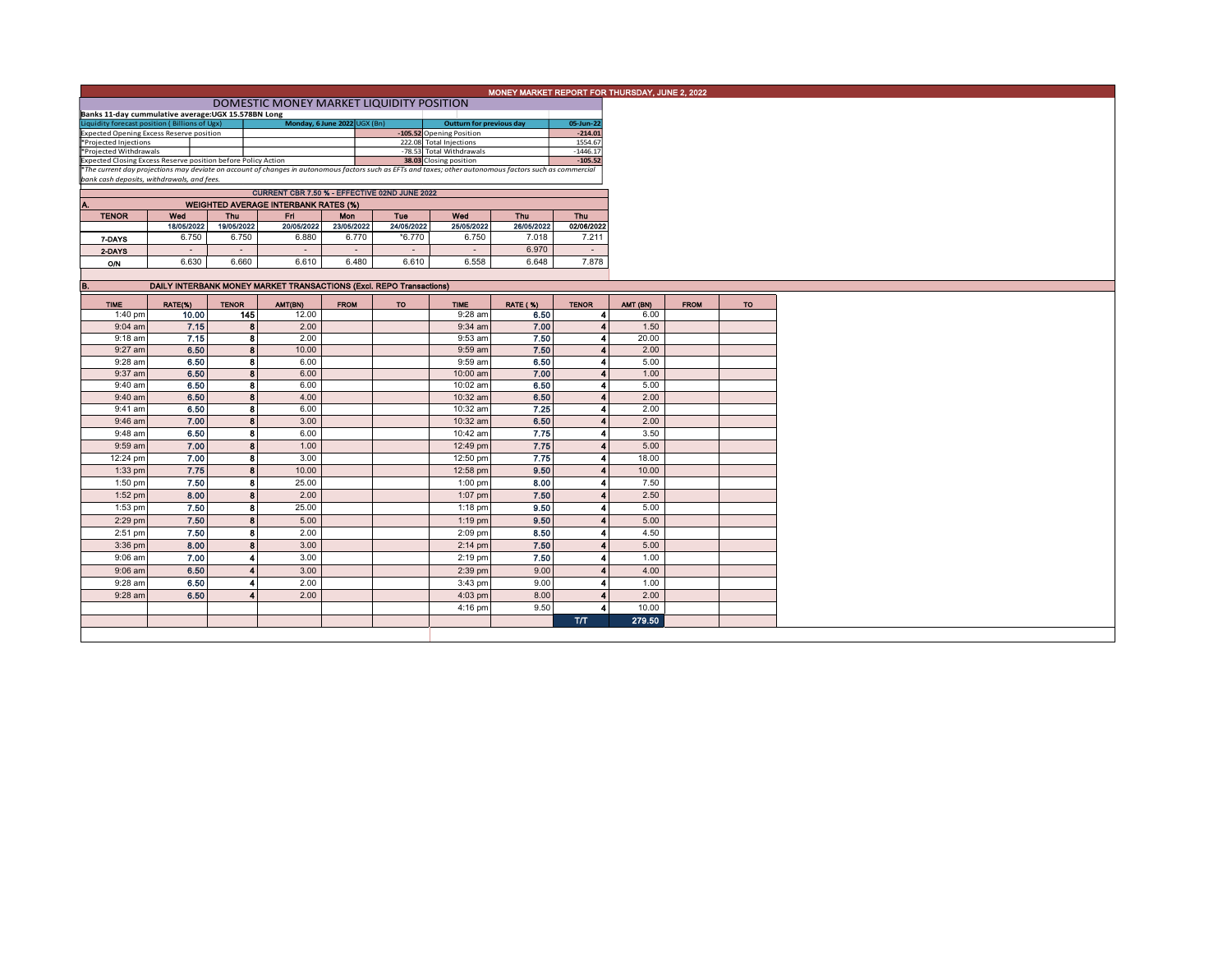|  |  | MONEY MARKET REPORT FOR THURSDAY, JUNE 2, 2022 |  |
|--|--|------------------------------------------------|--|
|  |  |                                                |  |

| DOMESTIC MONEY MARKET LIQUIDITY POSITION |  |  |  |
|------------------------------------------|--|--|--|
|------------------------------------------|--|--|--|

| Banks 11-day cummulative average: UGX 15.578BN Long                                                                                                      |  |                              |  |                          |                                 |            |  |  |  |  |
|----------------------------------------------------------------------------------------------------------------------------------------------------------|--|------------------------------|--|--------------------------|---------------------------------|------------|--|--|--|--|
| Liquidity forecast position (Billions of Ugx)                                                                                                            |  | Monday, 6 June 2022 UGX (Bn) |  |                          | <b>Outturn for previous day</b> | 05-Jun-22  |  |  |  |  |
| <b>Expected Opening Excess Reserve position</b>                                                                                                          |  |                              |  | -105.52 Opening Position |                                 | $-214.01$  |  |  |  |  |
| *Projected Injections                                                                                                                                    |  |                              |  | 222.08 Total Injections  |                                 | 1554.67    |  |  |  |  |
| *Projected Withdrawals                                                                                                                                   |  |                              |  | -78.53 Total Withdrawals |                                 | $-1446.17$ |  |  |  |  |
| Expected Closing Excess Reserve position before Policy Action                                                                                            |  |                              |  | 38.03 Closing position   |                                 | $-105.52$  |  |  |  |  |
| *The current day projections may deviate on account of changes in autonomous factors such as EFTs and taxes; other autonomous factors such as commercial |  |                              |  |                          |                                 |            |  |  |  |  |
| bank cash deposits, withdrawals, and fees.                                                                                                               |  |                              |  |                          |                                 |            |  |  |  |  |

|              | CURRENT CBR 7.50 % - EFFECTIVE 02ND JUNE 2022 |            |            |            |            |            |            |            |  |  |  |  |  |  |  |
|--------------|-----------------------------------------------|------------|------------|------------|------------|------------|------------|------------|--|--|--|--|--|--|--|
| Α.           | <b>WEIGHTED AVERAGE INTERBANK RATES (%)</b>   |            |            |            |            |            |            |            |  |  |  |  |  |  |  |
| <b>TENOR</b> | Wed                                           | Thu        | Fri        | <b>Mon</b> | Tue        | Wed        | Thu        | Thu        |  |  |  |  |  |  |  |
|              | 18/05/2022                                    | 19/05/2022 | 20/05/2022 | 23/05/2022 | 24/05/2022 | 25/05/2022 | 26/05/2022 | 02/06/2022 |  |  |  |  |  |  |  |
| 7-DAYS       | 6.750                                         | 6.750      | 6.880      | 6.770      | *6.770     | 6.750      | 7.018      | 7.211      |  |  |  |  |  |  |  |
| 2-DAYS       | -                                             | -          | $\sim$     | ۰          | -          |            | 6.970      |            |  |  |  |  |  |  |  |
| O/N          | 6.630                                         | 6.660      | 6.610      | 6.480      | 6.610      | 6.558      | 6.648      | 7.878      |  |  |  |  |  |  |  |
|              |                                               |            |            |            |            |            |            |            |  |  |  |  |  |  |  |

| В.          |         |              | DAILY INTERBANK MONEY MARKET TRANSACTIONS (Excl. REPO Transactions) |             |     |             |                 |              |          |             |     |
|-------------|---------|--------------|---------------------------------------------------------------------|-------------|-----|-------------|-----------------|--------------|----------|-------------|-----|
| <b>TIME</b> | RATE(%) | <b>TENOR</b> | AMT(BN)                                                             | <b>FROM</b> | TO. | <b>TIME</b> | <b>RATE (%)</b> | <b>TENOR</b> | AMT (BN) | <b>FROM</b> | TO. |
| 1:40 pm     | 10.00   | 145          | 12.00                                                               |             |     | $9:28$ am   | 6.50            |              | 6.00     |             |     |
| $9:04$ am   | 7.15    | 8            | 2.00                                                                |             |     | 9:34 am     | 7.00            |              | 1.50     |             |     |
| 9:18 am     | 7.15    | 8            | 2.00                                                                |             |     | 9:53 am     | 7.50            |              | 20.00    |             |     |
| 9:27 am     | 6.50    | 8            | 10.00                                                               |             |     | 9:59 am     | 7.50            |              | 2.00     |             |     |
| 9:28 am     | 6.50    | 8            | 6.00                                                                |             |     | 9:59 am     | 6.50            |              | 5.00     |             |     |
| 9:37 am     | 6.50    | 8            | 6.00                                                                |             |     | 10:00 am    | 7.00            |              | 1.00     |             |     |
| $9:40$ am   | 6.50    | 8            | 6.00                                                                |             |     | 10:02 am    | 6.50            |              | 5.00     |             |     |
| $9:40$ am   | 6.50    | 8            | 4.00                                                                |             |     | 10:32 am    | 6.50            |              | 2.00     |             |     |
| 9:41 am     | 6.50    | 8            | 6.00                                                                |             |     | 10:32 am    | 7.25            |              | 2.00     |             |     |
| $9:46$ am   | 7.00    | 8            | 3.00                                                                |             |     | 10:32 am    | 6.50            |              | 2.00     |             |     |
| 9:48 am     | 6.50    | 8            | 6.00                                                                |             |     | 10:42 am    | 7.75            |              | 3.50     |             |     |
| 9:59 am     | 7.00    | 8            | 1.00                                                                |             |     | 12:49 pm    | 7.75            |              | 5.00     |             |     |
| 12:24 pm    | 7.00    | 8            | 3.00                                                                |             |     | 12:50 pm    | 7.75            |              | 18.00    |             |     |
| $1:33$ pm   | 7.75    | 8            | 10.00                                                               |             |     | 12:58 pm    | 9.50            |              | 10.00    |             |     |
| $1:50$ pm   | 7.50    | 8            | 25.00                                                               |             |     | $1:00$ pm   | 8.00            |              | 7.50     |             |     |
| $1:52$ pm   | 8.00    | 8            | 2.00                                                                |             |     | 1:07 pm     | 7.50            |              | 2.50     |             |     |
| 1:53 pm     | 7.50    | 8            | 25.00                                                               |             |     | $1:18$ pm   | 9.50            |              | 5.00     |             |     |
| 2:29 pm     | 7.50    | 8            | 5.00                                                                |             |     | $1:19$ pm   | 9.50            |              | 5.00     |             |     |
| 2:51 pm     | 7.50    | 8            | 2.00                                                                |             |     | $2:09$ pm   | 8.50            |              | 4.50     |             |     |
| 3:36 pm     | 8.00    | 8            | 3.00                                                                |             |     | $2:14$ pm   | 7.50            |              | 5.00     |             |     |
| $9:06$ am   | 7.00    |              | 3.00                                                                |             |     | $2:19$ pm   | 7.50            |              | 1.00     |             |     |
| $9:06$ am   | 6.50    |              | 3.00                                                                |             |     | 2:39 pm     | 9.00            |              | 4.00     |             |     |
| 9:28 am     | 6.50    |              | 2.00                                                                |             |     | 3:43 pm     | 9.00            |              | 1.00     |             |     |
| 9:28 am     | 6.50    |              | 2.00                                                                |             |     | $4:03$ pm   | 8.00            |              | 2.00     |             |     |
|             |         |              |                                                                     |             |     | $4:16$ pm   | 9.50            |              | 10.00    |             |     |
|             |         |              |                                                                     |             |     |             |                 | <b>T/T</b>   | 279.50   |             |     |
|             |         |              |                                                                     |             |     |             |                 |              |          |             |     |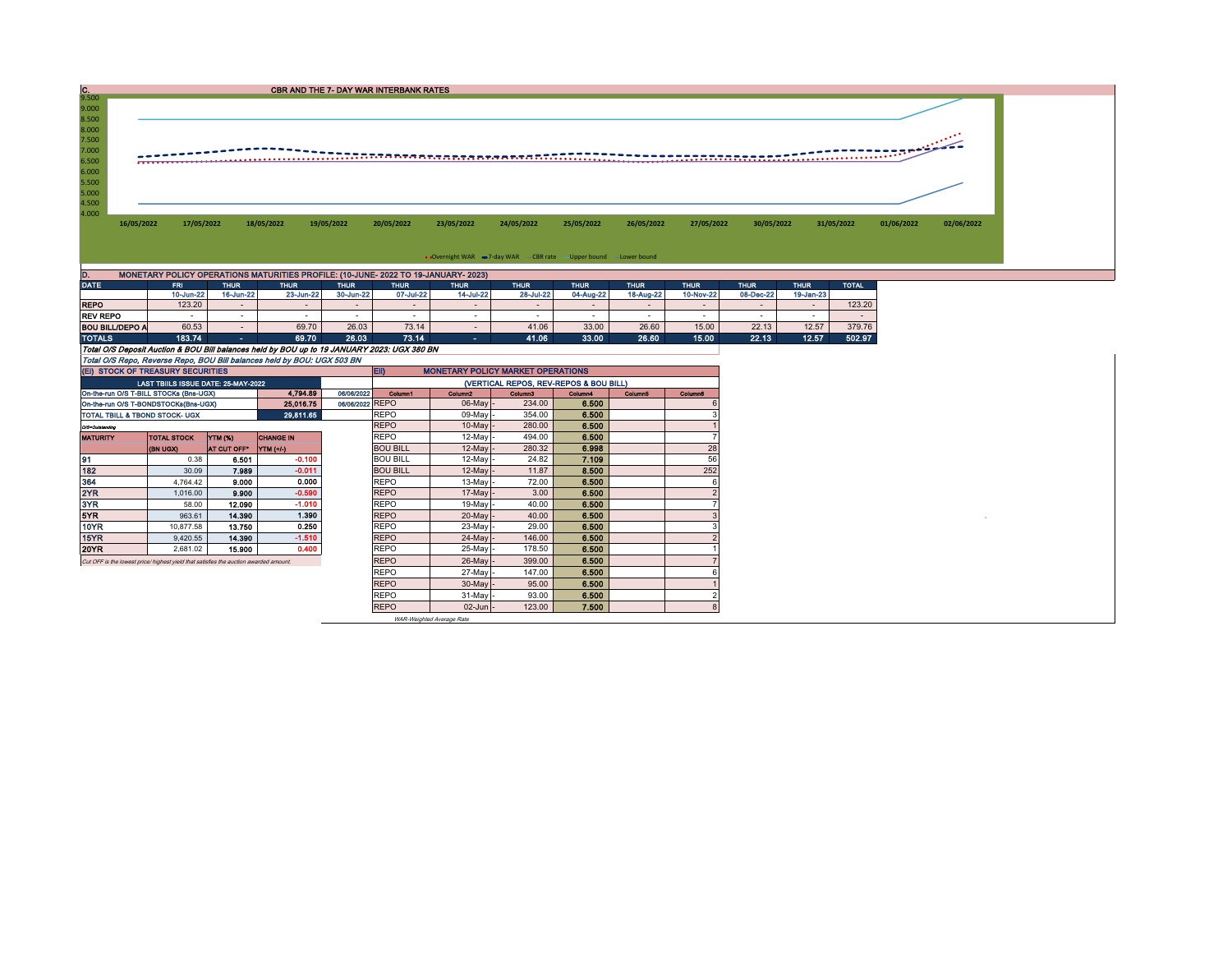| 7.000<br>6.000<br>5.000<br>4.000<br>26/05/2022<br>30/05/2022<br>31/05/2022<br>01/06/2022<br>02/06/2022<br>16/05/2022<br>17/05/2022<br>18/05/2022<br>19/05/2022<br>20/05/2022<br>23/05/2022<br>24/05/2022<br>25/05/2022<br>27/05/2022<br>• Overnight WAR -7-day WAR - CBR rate - Upper bound - Lower bound<br>MONETARY POLICY OPERATIONS MATURITIES PROFILE: (10-JUNE- 2022 TO 19-JANUARY- 2023)<br>FRI.<br><b>THUR</b><br><b>THUR</b><br><b>THUR</b><br><b>THUR</b><br><b>TOTAL</b><br><b>THUR</b><br><b>THUR</b><br><b>THUR</b><br><b>THUR</b><br><b>THUR</b><br><b>THUR</b><br><b>THUR</b><br>16-Jun-22<br>30-Jun-22<br>07-Jul-22<br>14-Jul-22<br>28-Jul-22<br>04-Aug-22<br>18-Aug-22<br>08-Dec-22<br>10-Jun-22<br>23-Jun-22<br>10-Nov-22<br>19-Jan-23<br>123.20<br><b>REPO</b><br>123.20<br>$\sim$<br>$\sim$<br>$\sim$<br>$\sim$<br>$\sim$<br>$\sim$<br>$\overline{\phantom{a}}$<br>$\sim$<br>$\sim$<br>$\sim$<br>$\overline{\phantom{a}}$<br><b>REV REPO</b><br>$\sim$<br>$\sim$<br>$\sim$<br>$\sim$<br>$\sim$<br>$\sim$<br>$\sim$<br>$\sim$<br>$\overline{\phantom{a}}$<br>$\sim$<br>$\sim$<br>$\overline{\phantom{a}}$<br>$\sim$<br>69.70<br>12.57<br>26.03<br>73.14<br>33.00<br>26.60<br>15.00<br>22.13<br>379.76<br>60.53<br>41.06<br><b>BOU BILL/DEPO A</b><br>$\sim$ 10 $\pm$<br>$\sim$ | $\frac{C}{9.500}$ |        |       |               | CBR AND THE 7- DAY WAR INTERBANK RATES |       |              |       |              |       |              |               |  |
|---------------------------------------------------------------------------------------------------------------------------------------------------------------------------------------------------------------------------------------------------------------------------------------------------------------------------------------------------------------------------------------------------------------------------------------------------------------------------------------------------------------------------------------------------------------------------------------------------------------------------------------------------------------------------------------------------------------------------------------------------------------------------------------------------------------------------------------------------------------------------------------------------------------------------------------------------------------------------------------------------------------------------------------------------------------------------------------------------------------------------------------------------------------------------------------------------------------------------------------------------------------------------------------------------|-------------------|--------|-------|---------------|----------------------------------------|-------|--------------|-------|--------------|-------|--------------|---------------|--|
|                                                                                                                                                                                                                                                                                                                                                                                                                                                                                                                                                                                                                                                                                                                                                                                                                                                                                                                                                                                                                                                                                                                                                                                                                                                                                                   | 9.000<br>8.500    |        |       |               |                                        |       |              |       |              |       |              |               |  |
|                                                                                                                                                                                                                                                                                                                                                                                                                                                                                                                                                                                                                                                                                                                                                                                                                                                                                                                                                                                                                                                                                                                                                                                                                                                                                                   | 8.000<br>7.500    |        |       |               |                                        |       |              |       |              |       |              |               |  |
|                                                                                                                                                                                                                                                                                                                                                                                                                                                                                                                                                                                                                                                                                                                                                                                                                                                                                                                                                                                                                                                                                                                                                                                                                                                                                                   | 6.500             |        |       |               |                                        |       |              |       |              |       |              |               |  |
|                                                                                                                                                                                                                                                                                                                                                                                                                                                                                                                                                                                                                                                                                                                                                                                                                                                                                                                                                                                                                                                                                                                                                                                                                                                                                                   | 5.500             |        |       |               |                                        |       |              |       |              |       |              |               |  |
|                                                                                                                                                                                                                                                                                                                                                                                                                                                                                                                                                                                                                                                                                                                                                                                                                                                                                                                                                                                                                                                                                                                                                                                                                                                                                                   | 4.500             |        |       |               |                                        |       |              |       |              |       |              |               |  |
|                                                                                                                                                                                                                                                                                                                                                                                                                                                                                                                                                                                                                                                                                                                                                                                                                                                                                                                                                                                                                                                                                                                                                                                                                                                                                                   |                   |        |       |               |                                        |       |              |       |              |       |              |               |  |
|                                                                                                                                                                                                                                                                                                                                                                                                                                                                                                                                                                                                                                                                                                                                                                                                                                                                                                                                                                                                                                                                                                                                                                                                                                                                                                   |                   |        |       |               |                                        |       |              |       |              |       |              |               |  |
|                                                                                                                                                                                                                                                                                                                                                                                                                                                                                                                                                                                                                                                                                                                                                                                                                                                                                                                                                                                                                                                                                                                                                                                                                                                                                                   |                   |        |       |               |                                        |       |              |       |              |       |              |               |  |
|                                                                                                                                                                                                                                                                                                                                                                                                                                                                                                                                                                                                                                                                                                                                                                                                                                                                                                                                                                                                                                                                                                                                                                                                                                                                                                   | D.                |        |       |               |                                        |       |              |       |              |       |              |               |  |
|                                                                                                                                                                                                                                                                                                                                                                                                                                                                                                                                                                                                                                                                                                                                                                                                                                                                                                                                                                                                                                                                                                                                                                                                                                                                                                   | <b>DATE</b>       |        |       |               |                                        |       |              |       |              |       |              |               |  |
|                                                                                                                                                                                                                                                                                                                                                                                                                                                                                                                                                                                                                                                                                                                                                                                                                                                                                                                                                                                                                                                                                                                                                                                                                                                                                                   |                   |        |       |               |                                        |       |              |       |              |       |              |               |  |
|                                                                                                                                                                                                                                                                                                                                                                                                                                                                                                                                                                                                                                                                                                                                                                                                                                                                                                                                                                                                                                                                                                                                                                                                                                                                                                   |                   |        |       |               |                                        |       |              |       |              |       |              |               |  |
|                                                                                                                                                                                                                                                                                                                                                                                                                                                                                                                                                                                                                                                                                                                                                                                                                                                                                                                                                                                                                                                                                                                                                                                                                                                                                                   |                   |        |       |               |                                        |       |              |       |              |       |              |               |  |
|                                                                                                                                                                                                                                                                                                                                                                                                                                                                                                                                                                                                                                                                                                                                                                                                                                                                                                                                                                                                                                                                                                                                                                                                                                                                                                   | <b>TOTAL O</b>    | 199.74 | 60.70 | <b>26.02.</b> | 79.44                                  | 44.0A | <b>99.00</b> | na an | <b>15.00</b> | 22.42 | <b>10.57</b> | <b>602.07</b> |  |

TOTALS 183.74 183.74 69.70 26.03 73.14 - 41.06 33.00 26.60 15.00 22.13 12.57 502.97<br>Total O/S Deposit Auction & BOU Bill balances held by BOU up to 19 JANUARY 2023: UGX 380 BN<br>Total O/S Repo, Reverse Repo, BOU Bill balance

| (EI) STOCK OF TREASURY SECURITIES                                                    |                                                   |             |                  |             | EII)            | <b>MONETARY POLICY MARKET OPERATIONS</b> |                                        |         |         |                |
|--------------------------------------------------------------------------------------|---------------------------------------------------|-------------|------------------|-------------|-----------------|------------------------------------------|----------------------------------------|---------|---------|----------------|
|                                                                                      | LAST TBIILS ISSUE DATE: 25-MAY-2022               |             |                  |             |                 |                                          | (VERTICAL REPOS, REV-REPOS & BOU BILL) |         |         |                |
| On-the-run O/S T-BILL STOCKs (Bns-UGX)                                               |                                                   |             | 4.794.89         | 06/06/2022  | Column1         | Column <sub>2</sub>                      | Column3                                | Column4 | Columnã | <b>Column6</b> |
|                                                                                      | 25,016.75<br>On-the-run O/S T-BONDSTOCKs(Bns-UGX) |             |                  |             | 06/06/2022 REPO | 06-May -                                 | 234.00                                 | 6.500   |         |                |
| TOTAL TBILL & TBOND STOCK- UGX                                                       |                                                   |             | 29.811.65        |             | <b>REPO</b>     | 09-May -                                 | 354.00                                 | 6.500   |         |                |
| O/S=Outstanding                                                                      |                                                   |             |                  |             | <b>REPO</b>     | $10$ -May -                              | 280.00                                 | 6.500   |         |                |
| <b>MATURITY</b>                                                                      | <b>TOTAL STOCK</b>                                | YTM (%)     | <b>CHANGE IN</b> |             | <b>REPO</b>     | $12$ -May -                              | 494.00                                 | 6.500   |         |                |
|                                                                                      | <b>(BN UGX)</b>                                   | AT CUT OFF" | <b>YTM (+/-)</b> |             | <b>BOU BILL</b> | $12$ -May -                              | 280.32                                 | 6,998   |         | 28             |
| 91                                                                                   | 0.38                                              | 6.501       | $-0.100$         |             | <b>BOU BILL</b> | 12-May -                                 | 24.82                                  | 7.109   |         | 56             |
| 182                                                                                  | 30.09                                             | 7.989       | $-0.011$         |             | <b>BOU BILL</b> | $12$ -May -                              | 11.87                                  | 8.500   |         | 252            |
| 364                                                                                  | 4.764.42                                          | 9.000       | 0.000            |             | <b>REPO</b>     | $13-May -$                               | 72.00                                  | 6.500   |         |                |
| 2YR                                                                                  | 1,016.00                                          | 9.900       | $-0.590$         |             | <b>REPO</b>     | $17$ -May -                              | 3.00                                   | 6.500   |         |                |
| 3YR                                                                                  | 58.00                                             | 12.090      | $-1.010$         |             | <b>REPO</b>     | 19-May -                                 | 40.00                                  | 6.500   |         |                |
| 5YR                                                                                  | 963.61                                            | 14,390      | 1.390            |             | <b>REPO</b>     | 20-May -                                 | 40.00                                  | 6.500   |         |                |
| 10YR                                                                                 | 10,877.58                                         | 13.750      | 0.250            |             | <b>REPO</b>     | 23-May -                                 | 29.00                                  | 6.500   |         |                |
| 15YR                                                                                 | 9,420.55                                          | 14.390      | $-1.510$         |             | <b>REPO</b>     | $24$ -May -                              | 146.00                                 | 6.500   |         |                |
| 20YR                                                                                 | 2,681.02                                          | 15.900      | 0.400            |             | <b>REPO</b>     | 25-May -                                 | 178.50                                 | 6.500   |         |                |
| Cut OFF is the lowest price/highest vield that satisfies the auction awarded amount. |                                                   |             |                  |             | <b>REPO</b>     | $26$ -May -                              | 399.00                                 | 6.500   |         |                |
|                                                                                      |                                                   |             |                  |             | <b>REPO</b>     | 27-May -                                 | 147.00                                 | 6.500   |         |                |
|                                                                                      |                                                   |             |                  |             | <b>REPO</b>     | $30$ -May -                              | 95.00                                  | 6.500   |         |                |
|                                                                                      |                                                   |             |                  | <b>REPO</b> | $31$ -May -     | 93.00                                    | 6.500                                  |         |         |                |
|                                                                                      |                                                   |             |                  |             | <b>REPO</b>     | $02$ -Jun $-$                            | 123.00                                 | 7.500   |         |                |

WAR-Weighted Average Rate